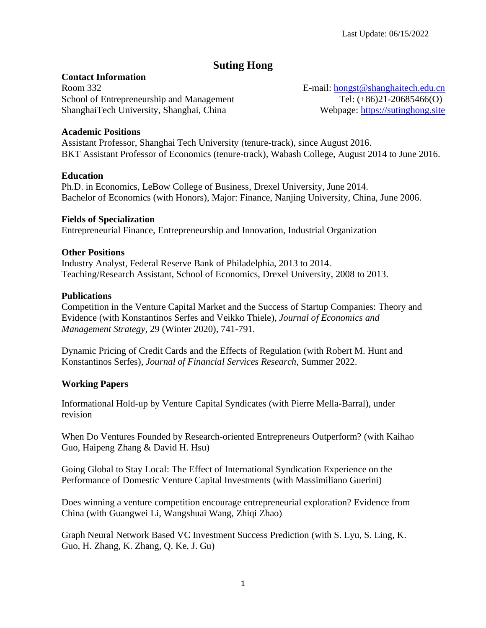# **Suting Hong**

### **Contact Information**

Room 332 School of Entrepreneurship and Management ShanghaiTech University, Shanghai, China

E-mail: [hongst@shanghaitech.edu.cn](mailto:hongst@shanghaitech.edu.cn) Tel: (+86)21-20685466(O) Webpage: [https://sutinghong.site](https://sutinghong.site/)

### **Academic Positions**

Assistant Professor, Shanghai Tech University (tenure-track), since August 2016. BKT Assistant Professor of Economics (tenure-track), Wabash College, August 2014 to June 2016.

### **Education**

Ph.D. in Economics, LeBow College of Business, Drexel University, June 2014. Bachelor of Economics (with Honors), Major: Finance, Nanjing University, China, June 2006.

### **Fields of Specialization**

Entrepreneurial Finance, Entrepreneurship and Innovation, Industrial Organization

### **Other Positions**

Industry Analyst, Federal Reserve Bank of Philadelphia, 2013 to 2014. Teaching/Research Assistant, School of Economics, Drexel University, 2008 to 2013.

#### **Publications**

Competition in the Venture Capital Market and the Success of Startup Companies: Theory and Evidence (with Konstantinos Serfes and Veikko Thiele), *Journal of Economics and Management Strategy,* 29 (Winter 2020), 741-791.

Dynamic Pricing of Credit Cards and the Effects of Regulation (with Robert M. Hunt and Konstantinos Serfes), *Journal of Financial Services Research*, Summer 2022.

### **Working Papers**

Informational Hold-up by Venture Capital Syndicates (with Pierre Mella-Barral), under revision

When Do Ventures Founded by Research-oriented Entrepreneurs Outperform? (with Kaihao Guo, Haipeng Zhang & David H. Hsu)

Going Global to Stay Local: The Effect of International Syndication Experience on the Performance of Domestic Venture Capital Investments (with Massimiliano Guerini)

Does winning a venture competition encourage entrepreneurial exploration? Evidence from China (with Guangwei Li, Wangshuai Wang, Zhiqi Zhao)

Graph Neural Network Based VC Investment Success Prediction (with S. Lyu, S. Ling, K. Guo, H. Zhang, K. Zhang, Q. Ke, J. Gu)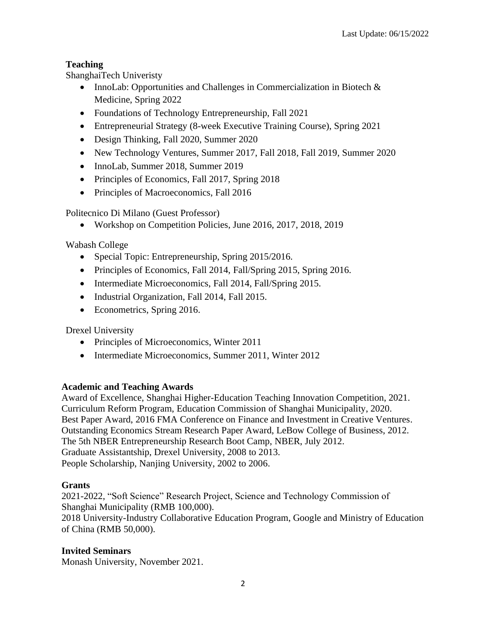## **Teaching**

ShanghaiTech Univeristy

- InnoLab: Opportunities and Challenges in Commercialization in Biotech & Medicine, Spring 2022
- Foundations of Technology Entrepreneurship, Fall 2021
- Entrepreneurial Strategy (8-week Executive Training Course), Spring 2021
- Design Thinking, Fall 2020, Summer 2020
- New Technology Ventures, Summer 2017, Fall 2018, Fall 2019, Summer 2020
- InnoLab, Summer 2018, Summer 2019
- Principles of Economics, Fall 2017, Spring 2018
- Principles of Macroeconomics, Fall 2016

Politecnico Di Milano (Guest Professor)

• Workshop on Competition Policies, June 2016, 2017, 2018, 2019

Wabash College

- Special Topic: Entrepreneurship, Spring 2015/2016.
- Principles of Economics, Fall 2014, Fall/Spring 2015, Spring 2016.
- Intermediate Microeconomics, Fall 2014, Fall/Spring 2015.
- Industrial Organization, Fall 2014, Fall 2015.
- Econometrics, Spring 2016.

Drexel University

- Principles of Microeconomics, Winter 2011
- Intermediate Microeconomics, Summer 2011, Winter 2012

## **Academic and Teaching Awards**

Award of Excellence, Shanghai Higher-Education Teaching Innovation Competition, 2021. Curriculum Reform Program, Education Commission of Shanghai Municipality, 2020. Best Paper Award, 2016 FMA Conference on Finance and Investment in Creative Ventures. Outstanding Economics Stream Research Paper Award, LeBow College of Business, 2012. The 5th NBER Entrepreneurship Research Boot Camp, NBER, July 2012. Graduate Assistantship, Drexel University, 2008 to 2013. People Scholarship, Nanjing University, 2002 to 2006.

### **Grants**

2021-2022, "Soft Science" Research Project, Science and Technology Commission of Shanghai Municipality (RMB 100,000). 2018 University-Industry Collaborative Education Program, Google and Ministry of Education of China (RMB 50,000).

### **Invited Seminars**

Monash University, November 2021.